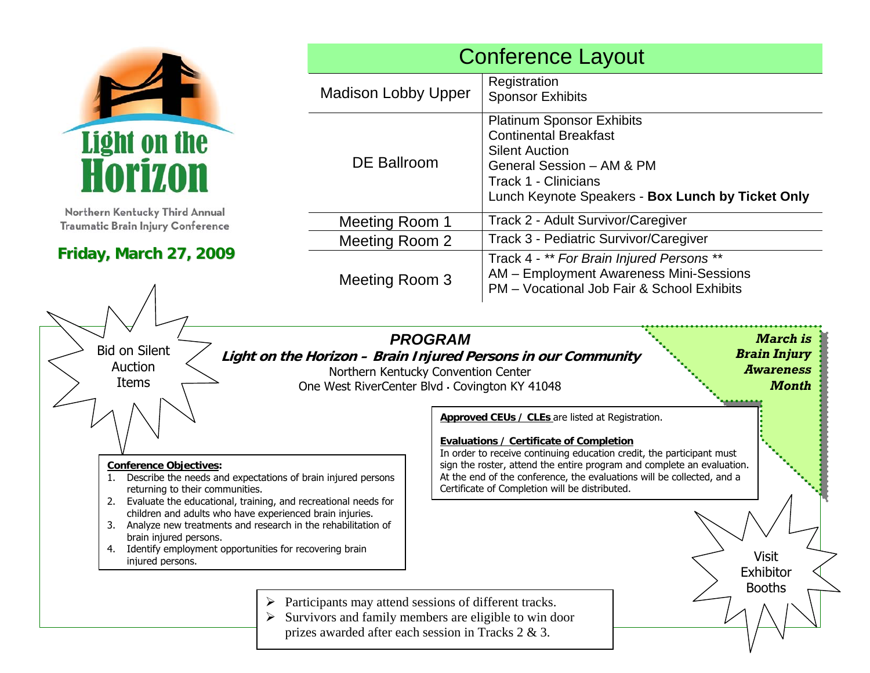

Northern Kentucky Third Annual Traumatic Brain Injury Conference

# **Friday, March 27, 2009**

| <b>Conference Layout</b>   |                                                                                                                                                                                                     |  |  |  |  |
|----------------------------|-----------------------------------------------------------------------------------------------------------------------------------------------------------------------------------------------------|--|--|--|--|
| <b>Madison Lobby Upper</b> | Registration<br><b>Sponsor Exhibits</b>                                                                                                                                                             |  |  |  |  |
| <b>DE Ballroom</b>         | <b>Platinum Sponsor Exhibits</b><br><b>Continental Breakfast</b><br><b>Silent Auction</b><br>General Session - AM & PM<br>Track 1 - Clinicians<br>Lunch Keynote Speakers - Box Lunch by Ticket Only |  |  |  |  |
| Meeting Room 1             | Track 2 - Adult Survivor/Caregiver                                                                                                                                                                  |  |  |  |  |
| Meeting Room 2             | Track 3 - Pediatric Survivor/Caregiver                                                                                                                                                              |  |  |  |  |
| Meeting Room 3             | Track 4 - ** For Brain Injured Persons **<br>AM - Employment Awareness Mini-Sessions<br>PM - Vocational Job Fair & School Exhibits                                                                  |  |  |  |  |

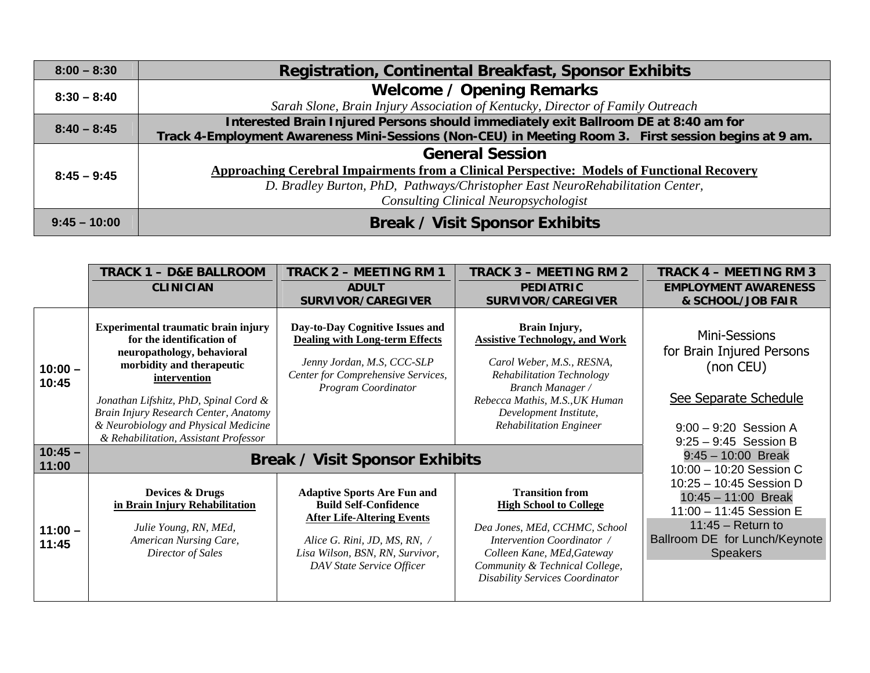| $8:00 - 8:30$  | <b>Registration, Continental Breakfast, Sponsor Exhibits</b>                                          |  |  |  |
|----------------|-------------------------------------------------------------------------------------------------------|--|--|--|
| $8:30 - 8:40$  | <b>Welcome / Opening Remarks</b>                                                                      |  |  |  |
|                | Sarah Slone, Brain Injury Association of Kentucky, Director of Family Outreach                        |  |  |  |
| $8:40 - 8:45$  | Interested Brain Injured Persons should immediately exit Ballroom DE at 8:40 am for                   |  |  |  |
|                | Track 4-Employment Awareness Mini-Sessions (Non-CEU) in Meeting Room 3. First session begins at 9 am. |  |  |  |
| $8:45 - 9:45$  | <b>General Session</b>                                                                                |  |  |  |
|                | Approaching Cerebral Impairments from a Clinical Perspective: Models of Functional Recovery           |  |  |  |
|                | D. Bradley Burton, PhD, Pathways/Christopher East NeuroRehabilitation Center,                         |  |  |  |
|                | <b>Consulting Clinical Neuropsychologist</b>                                                          |  |  |  |
| $9:45 - 10:00$ | <b>Break / Visit Sponsor Exhibits</b>                                                                 |  |  |  |

|                    | TRACK 1 – D&E BALLROOM                                                                                                                                                                                                                                                                                         | <b>TRACK 2 - MEETING RM 1</b>                                                                                                                                                                           | <b>TRACK 3 - MEETING RM 2</b>                                                                                                                                                                                                             | TRACK 4 – MEETING RM 3                                                                                                                                 |
|--------------------|----------------------------------------------------------------------------------------------------------------------------------------------------------------------------------------------------------------------------------------------------------------------------------------------------------------|---------------------------------------------------------------------------------------------------------------------------------------------------------------------------------------------------------|-------------------------------------------------------------------------------------------------------------------------------------------------------------------------------------------------------------------------------------------|--------------------------------------------------------------------------------------------------------------------------------------------------------|
|                    | <b>CLINICIAN</b>                                                                                                                                                                                                                                                                                               | <b>ADULT</b>                                                                                                                                                                                            | <b>PEDIATRIC</b>                                                                                                                                                                                                                          | <b>EMPLOYMENT AWARENESS</b>                                                                                                                            |
|                    |                                                                                                                                                                                                                                                                                                                | <b>SURVIVOR/CAREGIVER</b>                                                                                                                                                                               | <b>SURVIVOR/CAREGIVER</b>                                                                                                                                                                                                                 | & SCHOOL/JOB FAIR                                                                                                                                      |
| $10:00 -$<br>10:45 | Experimental traumatic brain injury<br>for the identification of<br>neuropathology, behavioral<br>morbidity and therapeutic<br>intervention<br>Jonathan Lifshitz, PhD, Spinal Cord &<br>Brain Injury Research Center, Anatomy<br>& Neurobiology and Physical Medicine<br>& Rehabilitation, Assistant Professor | Day-to-Day Cognitive Issues and<br><b>Dealing with Long-term Effects</b><br>Jenny Jordan, M.S, CCC-SLP<br>Center for Comprehensive Services,<br>Program Coordinator                                     | Brain Injury,<br><b>Assistive Technology, and Work</b><br>Carol Weber, M.S., RESNA,<br>Rehabilitation Technology<br><b>Branch Manager</b> /<br>Rebecca Mathis, M.S., UK Human<br>Development Institute,<br><b>Rehabilitation Engineer</b> | Mini-Sessions<br>for Brain Injured Persons<br>(non CEU)<br>See Separate Schedule<br>$9:00 - 9:20$ Session A                                            |
| $10:45 -$<br>11:00 | <b>Break / Visit Sponsor Exhibits</b>                                                                                                                                                                                                                                                                          | $9:25 - 9:45$ Session B<br>$9:45 - 10:00$ Break<br>10:00 - 10:20 Session C                                                                                                                              |                                                                                                                                                                                                                                           |                                                                                                                                                        |
| $11:00 -$<br>11:45 | <b>Devices &amp; Drugs</b><br>in Brain Injury Rehabilitation<br>Julie Young, RN, MEd,<br>American Nursing Care,<br>Director of Sales                                                                                                                                                                           | <b>Adaptive Sports Are Fun and</b><br><b>Build Self-Confidence</b><br><b>After Life-Altering Events</b><br>Alice G. Rini, JD, MS, RN, /<br>Lisa Wilson, BSN, RN, Survivor,<br>DAV State Service Officer | <b>Transition from</b><br><b>High School to College</b><br>Dea Jones, MEd, CCHMC, School<br>Intervention Coordinator /<br>Colleen Kane, MEd, Gateway<br>Community & Technical College,<br><b>Disability Services Coordinator</b>          | 10:25 - 10:45 Session D<br>$10:45 - 11:00$ Break<br>11:00 - 11:45 Session E<br>$11:45 - Return to$<br>Ballroom DE for Lunch/Keynote<br><b>Speakers</b> |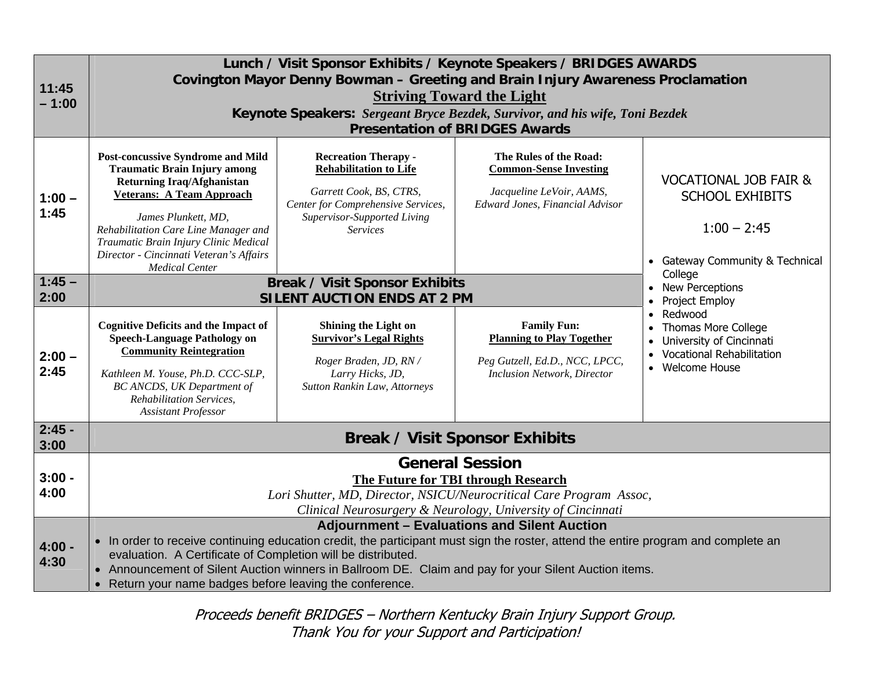| 11:45<br>$-1:00$             | Lunch / Visit Sponsor Exhibits / Keynote Speakers / BRIDGES AWARDS<br>Covington Mayor Denny Bowman - Greeting and Brain Injury Awareness Proclamation<br><b>Striving Toward the Light</b><br>Keynote Speakers: Sergeant Bryce Bezdek, Survivor, and his wife, Toni Bezdek<br><b>Presentation of BRIDGES Awards</b>                                                                                                             |                                                                                                                                                                                 |                                                                                                                                |                                                                                                                                                                                                                                                                                                                             |  |  |
|------------------------------|--------------------------------------------------------------------------------------------------------------------------------------------------------------------------------------------------------------------------------------------------------------------------------------------------------------------------------------------------------------------------------------------------------------------------------|---------------------------------------------------------------------------------------------------------------------------------------------------------------------------------|--------------------------------------------------------------------------------------------------------------------------------|-----------------------------------------------------------------------------------------------------------------------------------------------------------------------------------------------------------------------------------------------------------------------------------------------------------------------------|--|--|
| $1:00 -$<br>1:45<br>$1:45 -$ | <b>Post-concussive Syndrome and Mild</b><br><b>Traumatic Brain Injury among</b><br><b>Returning Iraq/Afghanistan</b><br><b>Veterans: A Team Approach</b><br>James Plunkett, MD,<br>Rehabilitation Care Line Manager and<br>Traumatic Brain Injury Clinic Medical<br>Director - Cincinnati Veteran's Affairs<br><b>Medical Center</b>                                                                                           | <b>Recreation Therapy -</b><br><b>Rehabilitation to Life</b><br>Garrett Cook, BS, CTRS,<br>Center for Comprehensive Services,<br>Supervisor-Supported Living<br><b>Services</b> | The Rules of the Road:<br><b>Common-Sense Investing</b><br>Jacqueline LeVoir, AAMS,<br><b>Edward Jones, Financial Advisor</b>  | <b>VOCATIONAL JOB FAIR &amp;</b><br><b>SCHOOL EXHIBITS</b><br>$1:00 - 2:45$<br>• Gateway Community & Technical<br>College<br><b>New Perceptions</b><br>Project Employ<br>Redwood<br>$\bullet$<br><b>Thomas More College</b><br>$\bullet$<br>University of Cincinnati<br><b>Vocational Rehabilitation</b><br>• Welcome House |  |  |
| 2:00                         |                                                                                                                                                                                                                                                                                                                                                                                                                                | <b>Break / Visit Sponsor Exhibits</b><br><b>SILENT AUCTION ENDS AT 2 PM</b>                                                                                                     |                                                                                                                                |                                                                                                                                                                                                                                                                                                                             |  |  |
| $2:00 -$<br>2:45             | <b>Cognitive Deficits and the Impact of</b><br><b>Speech-Language Pathology on</b><br><b>Community Reintegration</b><br>Kathleen M. Youse, Ph.D. CCC-SLP,<br><b>BC ANCDS, UK Department of</b><br>Rehabilitation Services,<br><b>Assistant Professor</b>                                                                                                                                                                       | Shining the Light on<br><b>Survivor's Legal Rights</b><br>Roger Braden, JD, RN /<br>Larry Hicks, JD,<br>Sutton Rankin Law, Attorneys                                            | <b>Family Fun:</b><br><b>Planning to Play Together</b><br>Peg Gutzell, Ed.D., NCC, LPCC,<br><b>Inclusion Network, Director</b> |                                                                                                                                                                                                                                                                                                                             |  |  |
| $2:45 -$<br>3:00             | <b>Break / Visit Sponsor Exhibits</b>                                                                                                                                                                                                                                                                                                                                                                                          |                                                                                                                                                                                 |                                                                                                                                |                                                                                                                                                                                                                                                                                                                             |  |  |
| $3:00 -$<br>4:00             | <b>General Session</b><br><b>The Future for TBI through Research</b><br>Lori Shutter, MD, Director, NSICU/Neurocritical Care Program Assoc,<br>Clinical Neurosurgery & Neurology, University of Cincinnati                                                                                                                                                                                                                     |                                                                                                                                                                                 |                                                                                                                                |                                                                                                                                                                                                                                                                                                                             |  |  |
| $4:00 -$<br>4:30             | <b>Adjournment - Evaluations and Silent Auction</b><br>• In order to receive continuing education credit, the participant must sign the roster, attend the entire program and complete an<br>evaluation. A Certificate of Completion will be distributed.<br>• Announcement of Silent Auction winners in Ballroom DE. Claim and pay for your Silent Auction items.<br>• Return your name badges before leaving the conference. |                                                                                                                                                                                 |                                                                                                                                |                                                                                                                                                                                                                                                                                                                             |  |  |

Proceeds benefit BRIDGES – Northern Kentucky Brain Injury Support Group. Thank You for your Support and Participation!